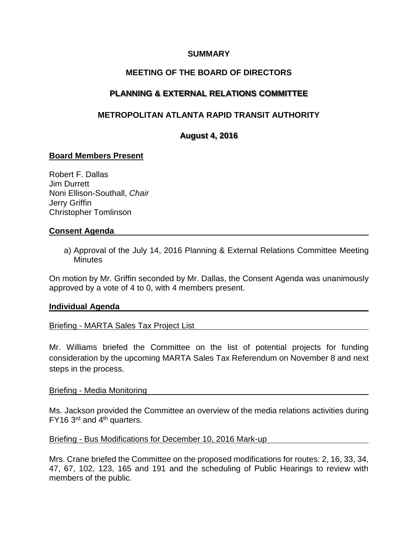### **SUMMARY**

## **MEETING OF THE BOARD OF DIRECTORS**

# **PLANNING & EXTERNAL RELATIONS COMMITTEE**

# **METROPOLITAN ATLANTA RAPID TRANSIT AUTHORITY**

## **August 4, 2016**

## **Board Members Present**

Robert F. Dallas Jim Durrett Noni Ellison-Southall, *Chair* Jerry Griffin Christopher Tomlinson

#### **Consent Agenda**

a) Approval of the July 14, 2016 Planning & External Relations Committee Meeting **Minutes** 

On motion by Mr. Griffin seconded by Mr. Dallas, the Consent Agenda was unanimously approved by a vote of 4 to 0, with 4 members present.

### **Individual Agenda**

### Briefing - MARTA Sales Tax Project List

Mr. Williams briefed the Committee on the list of potential projects for funding consideration by the upcoming MARTA Sales Tax Referendum on November 8 and next steps in the process.

#### Briefing - Media Monitoring

Ms. Jackson provided the Committee an overview of the media relations activities during  $FY16$  3<sup>rd</sup> and 4<sup>th</sup> quarters.

### Briefing - Bus Modifications for December 10, 2016 Mark-up

Mrs. Crane briefed the Committee on the proposed modifications for routes: 2, 16, 33, 34, 47, 67, 102, 123, 165 and 191 and the scheduling of Public Hearings to review with members of the public.